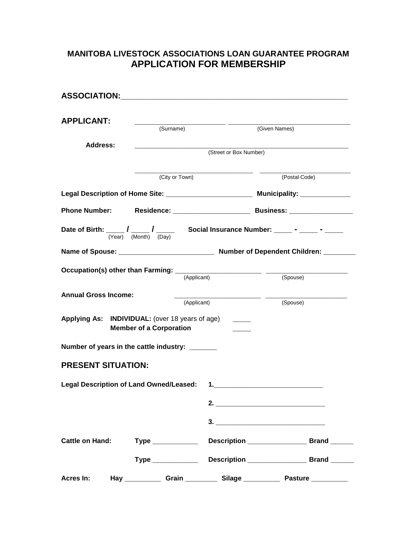## **MANITOBA LIVESTOCK ASSOCIATIONS LOAN GUARANTEE PROGRAM APPLICATION FOR MEMBERSHIP**

| <b>APPLICANT:</b>                               | (Surname)                      |             | (Given Names)                                                                     |          |  |
|-------------------------------------------------|--------------------------------|-------------|-----------------------------------------------------------------------------------|----------|--|
|                                                 |                                |             |                                                                                   |          |  |
| Address:                                        |                                |             | (Street or Box Number)                                                            |          |  |
|                                                 | (City or Town)                 |             | (Postal Code)                                                                     |          |  |
|                                                 |                                |             | Legal Description of Home Site: _________________________ Municipality: _________ |          |  |
| <b>Phone Number:</b>                            |                                |             |                                                                                   |          |  |
|                                                 |                                |             |                                                                                   |          |  |
|                                                 |                                |             |                                                                                   |          |  |
|                                                 |                                | (Applicant) | (Spouse)                                                                          |          |  |
| <b>Annual Gross Income:</b>                     |                                | (Applicant) |                                                                                   | (Spouse) |  |
| Applying As: INDIVIDUAL: (over 18 years of age) | <b>Member of a Corporation</b> |             |                                                                                   |          |  |
| Number of years in the cattle industry: ______  |                                |             |                                                                                   |          |  |
| <b>PRESENT SITUATION:</b>                       |                                |             |                                                                                   |          |  |
| <b>Legal Description of Land Owned/Leased:</b>  |                                |             | $1.$ The state of $\sim$ 1.000 $\sim$ 1.000 $\sim$ 1.000 $\sim$                   |          |  |
|                                                 |                                |             |                                                                                   |          |  |
|                                                 |                                |             |                                                                                   |          |  |
|                                                 |                                |             | Cattle on Hand: Type ______________ Description __________________ Brand ______   |          |  |
|                                                 |                                |             |                                                                                   |          |  |
| Acres In:                                       |                                |             | Hay _____________ Grain __________ Silage ____________ Pasture ___________        |          |  |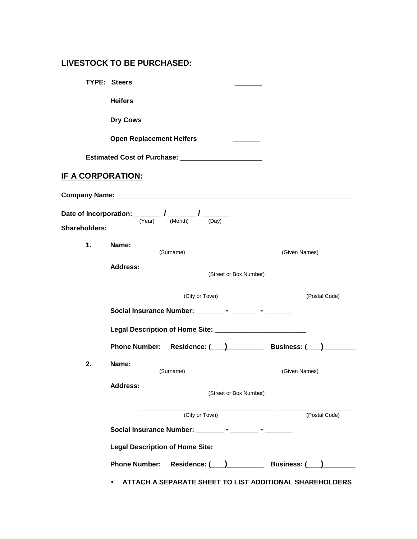## **LIVESTOCK TO BE PURCHASED:**

|                          | <b>TYPE: Steers</b>                                                                                      |  |               |  |  |  |
|--------------------------|----------------------------------------------------------------------------------------------------------|--|---------------|--|--|--|
|                          | <b>Heifers</b>                                                                                           |  |               |  |  |  |
|                          | <b>Dry Cows</b>                                                                                          |  |               |  |  |  |
|                          | <b>Open Replacement Heifers</b>                                                                          |  |               |  |  |  |
|                          | Estimated Cost of Purchase: _________________________                                                    |  |               |  |  |  |
| <u>IF A CORPORATION:</u> |                                                                                                          |  |               |  |  |  |
|                          |                                                                                                          |  |               |  |  |  |
| <b>Shareholders:</b>     | Date of Incorporation: $\frac{1}{(\text{Year})}$ / $\frac{1}{(\text{Month})}$ / $\frac{1}{(\text{Day})}$ |  |               |  |  |  |
| 1.                       |                                                                                                          |  |               |  |  |  |
|                          | (Given Names)<br>(Street or Box Number)                                                                  |  |               |  |  |  |
|                          |                                                                                                          |  |               |  |  |  |
|                          | (City or Town)<br>(Postal Code)                                                                          |  |               |  |  |  |
|                          | Social Insurance Number: _________ - _______ - ________                                                  |  |               |  |  |  |
|                          | Legal Description of Home Site: ___________________________                                              |  |               |  |  |  |
|                          | Phone Number: Residence: (Completed: Business: (Completed: 2011)                                         |  |               |  |  |  |
| 2.                       | (Given Names)                                                                                            |  |               |  |  |  |
|                          | (Surname)<br>(Street or Box Number)                                                                      |  |               |  |  |  |
|                          |                                                                                                          |  |               |  |  |  |
|                          | (City or Town)                                                                                           |  | (Postal Code) |  |  |  |
|                          | Social Insurance Number: __________ - ________ - ________                                                |  |               |  |  |  |
|                          |                                                                                                          |  |               |  |  |  |
|                          | Phone Number: Residence: (__)_____________ Business: (__)________                                        |  |               |  |  |  |
|                          | ATTACH A SEPARATE SHEET TO LIST ADDITIONAL SHAREHOLDERS                                                  |  |               |  |  |  |